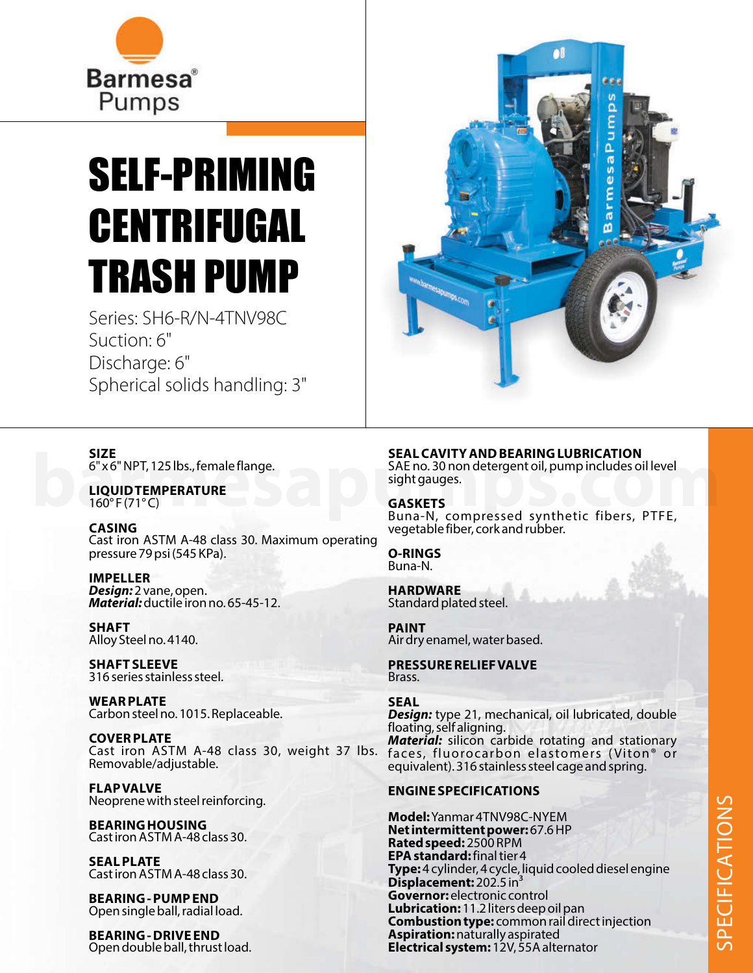

## SELF-PRIMING CENTRIFUGAL TRASH PUMP

Series: SH6-R/N-4TNV98C Suction: 6" Discharge: 6" Spherical solids handling: 3"



**LIQUIDTEMPERATURE**  $160^{\circ}$  F (71 $^{\circ}$  C)

**CASING** Cast iron ASTM A-48 class 30. Maximum operating pressure 79 psi (545 KPa).

**IMPELLER Design:** 2 vane, open. **Material:** ductile iron no. 65-45-12.

**SHAFT** Alloy Steel no. 4140.

**SHAFT SLEEVE** 316 series stainless steel.

**WEARPLATE** Carbon steel no. 1015. Replaceable.

**COVERPLATE** Cast iron ASTM A-48 class 30, weight 37 lbs. Removable/adjustable.

**FLAPVALVE** Neoprene with steel reinforcing.

**BEARINGHOUSING** Cast iron ASTM A-48 class 30.

**SEALPLATE** Cast iron ASTM A-48 class 30.

**BEARING - PUMPEND** Open single ball, radial load.

**BEARING - DRIVE END** Open double ball, thrust load.



## **SEAL CAVITY AND BEARING LUBRICATION**

SAE no. 30 non detergent oil, pump includes oil level sight gauges. **barry AND BEARING LUBRICATION**<br>
6"x6" NPT, 125 lbs., female flange.<br> **barmes and the state of the state of the state of the state of the state of the state of the state of the state of the state of the state of the state** 

**GASKETS** Buna-N, compressed synthetic fibers, PTFE, vegetable fiber, cork and rubber.

**O-RINGS** Buna-N.

**HARDWARE** Standard plated steel.

**PAINT** Air dry enamel, water based.

**PRESSURERELIEFVALVE** Brass.

## **SEAL**

**Design:** type 21, mechanical, oil lubricated, double floating, self aligning. Material: silicon carbide rotating and stationary faces, fluorocarbon elastomers ( Viton® or equivalent). 316 stainless steel cage and spring.

## **ENGINE SPECIFICATIONS**

**Model:** Yanmar 4TNV98C-NYEM **Net intermittent power:** 67.6 HP **Rated speed:** 2500 RPM **EPA standard:** final tier 4 **Type:** 4 cylinder, 4 cycle, liquid cooled diesel engine **Displacement: 202.5 in Governor:** electronic control **Lubrication:** 11.2 liters deep oil pan **Combustion type:** common rail direct injection **Aspiration:** naturally aspirated **Electrical system:** 12V, 55A alternator